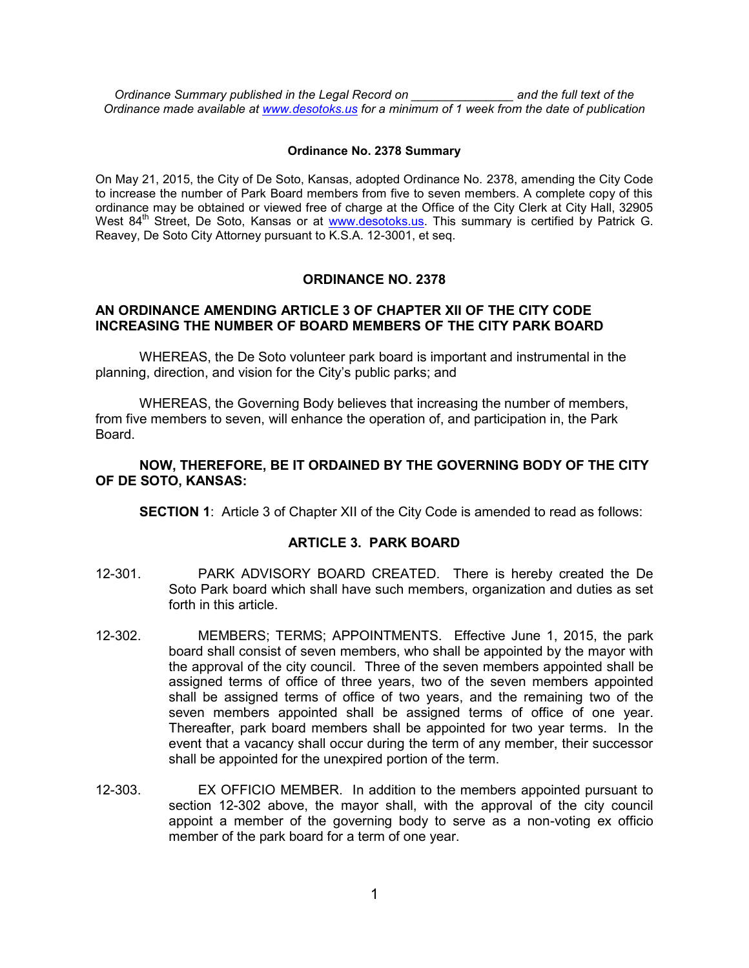*Ordinance Summary published in the Legal Record on \_\_\_\_\_\_\_\_\_\_\_\_\_\_\_ and the full text of the Ordinance made available at [www.desotoks.us](http://www.desotoks.us/) for a minimum of 1 week from the date of publication*

#### **Ordinance No. 2378 Summary**

On May 21, 2015, the City of De Soto, Kansas, adopted Ordinance No. 2378, amending the City Code to increase the number of Park Board members from five to seven members. A complete copy of this ordinance may be obtained or viewed free of charge at the Office of the City Clerk at City Hall, 32905 West 84<sup>th</sup> Street, De Soto, Kansas or at [www.desotoks.us.](http://www.desotoks.us/) This summary is certified by Patrick G. Reavey, De Soto City Attorney pursuant to K.S.A. 12-3001, et seq.

# **ORDINANCE NO. 2378**

## **AN ORDINANCE AMENDING ARTICLE 3 OF CHAPTER XII OF THE CITY CODE INCREASING THE NUMBER OF BOARD MEMBERS OF THE CITY PARK BOARD**

WHEREAS, the De Soto volunteer park board is important and instrumental in the planning, direction, and vision for the City's public parks; and

WHEREAS, the Governing Body believes that increasing the number of members, from five members to seven, will enhance the operation of, and participation in, the Park Board.

## **NOW, THEREFORE, BE IT ORDAINED BY THE GOVERNING BODY OF THE CITY OF DE SOTO, KANSAS:**

**SECTION 1:** Article 3 of Chapter XII of the City Code is amended to read as follows:

## **ARTICLE 3. PARK BOARD**

- 12-301. PARK ADVISORY BOARD CREATED. There is hereby created the De Soto Park board which shall have such members, organization and duties as set forth in this article.
- 12-302. MEMBERS; TERMS; APPOINTMENTS. Effective June 1, 2015, the park board shall consist of seven members, who shall be appointed by the mayor with the approval of the city council. Three of the seven members appointed shall be assigned terms of office of three years, two of the seven members appointed shall be assigned terms of office of two years, and the remaining two of the seven members appointed shall be assigned terms of office of one year. Thereafter, park board members shall be appointed for two year terms. In the event that a vacancy shall occur during the term of any member, their successor shall be appointed for the unexpired portion of the term.
- 12-303. EX OFFICIO MEMBER. In addition to the members appointed pursuant to section 12-302 above, the mayor shall, with the approval of the city council appoint a member of the governing body to serve as a non-voting ex officio member of the park board for a term of one year.